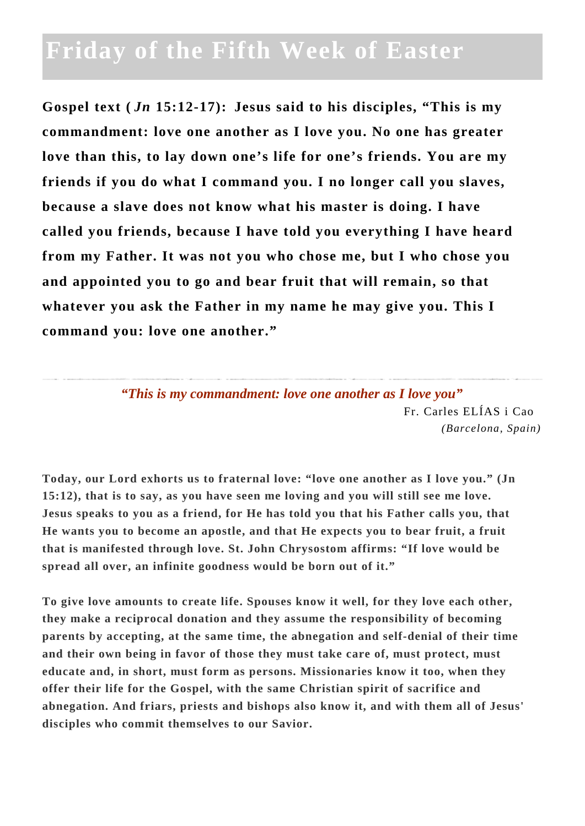## **Friday of the Fifth Week of Easter**

**Gospel text (** *Jn* **15:12-17): Jesus said to his disciples, "This is my commandment: love one another as I love you. No one has greater love than this, to lay down one's life for one's friends. You are my friends if you do what I command you. I no longer call you slaves, because a slave does not know what his master is doing. I have called you friends, because I have told you everything I have heard from my Father. It was not you who chose me, but I who chose you and appointed you to go and bear fruit that will remain, so that whatever you ask the Father in my name he may give you. This I command you: love one another."**

> *"This is my commandment: love one another as I love you"* Fr. Carles ELÍAS i Cao *(Barcelona, Spain)*

**Today, our Lord exhorts us to fraternal love: "love one another as I love you." (Jn 15:12), that is to say, as you have seen me loving and you will still see me love. Jesus speaks to you as a friend, for He has told you that his Father calls you, that He wants you to become an apostle, and that He expects you to bear fruit, a fruit that is manifested through love. St. John Chrysostom affirms: "If love would be spread all over, an infinite goodness would be born out of it."**

**To give love amounts to create life. Spouses know it well, for they love each other, they make a reciprocal donation and they assume the responsibility of becoming parents by accepting, at the same time, the abnegation and self-denial of their time and their own being in favor of those they must take care of, must protect, must educate and, in short, must form as persons. Missionaries know it too, when they offer their life for the Gospel, with the same Christian spirit of sacrifice and abnegation. And friars, priests and bishops also know it, and with them all of Jesus' disciples who commit themselves to our Savior.**